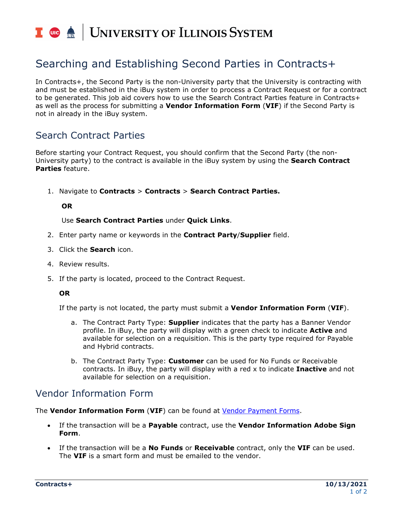### | UNIVERSITY OF ILLINOIS SYSTEM **T** ore  $\triangleq$

# Searching and Establishing Second Parties in Contracts+

In Contracts+, the Second Party is the non-University party that the University is contracting with and must be established in the iBuy system in order to process a Contract Request or for a contract to be generated. This job aid covers how to use the Search Contract Parties feature in Contracts+ as well as the process for submitting a **Vendor Information Form** (**VIF**) if the Second Party is not in already in the iBuy system.

# Search Contract Parties

Before starting your Contract Request, you should confirm that the Second Party (the non-University party) to the contract is available in the iBuy system by using the **Search Contract Parties** feature.

1. Navigate to **Contracts** > **Contracts** > **Search Contract Parties.**

#### **OR**

#### Use **Search Contract Parties** under **Quick Links**.

- 2. Enter party name or keywords in the **Contract Party**/**Supplier** field.
- 3. Click the **Search** icon.
- 4. Review results.
- 5. If the party is located, proceed to the Contract Request.

#### **OR**

If the party is not located, the party must submit a **Vendor Information Form** (**VIF**).

- a. The Contract Party Type: **Supplier** indicates that the party has a Banner Vendor profile. In iBuy, the party will display with a green check to indicate **Active** and available for selection on a requisition. This is the party type required for Payable and Hybrid contracts.
- b. The Contract Party Type: **Customer** can be used for No Funds or Receivable contracts. In iBuy, the party will display with a red x to indicate **Inactive** and not available for selection on a requisition.

# Vendor Information Form

The **Vendor Information Form** (**VIF**) can be found at [Vendor Payment](https://www.obfs.uillinois.edu/cms/One.aspx?portalId=77176&pageId=1229991#vendor) Forms.

- If the transaction will be a **Payable** contract, use the **Vendor Information Adobe Sign Form**.
- If the transaction will be a **No Funds** or **Receivable** contract, only the **VIF** can be used. The **VIF** is a smart form and must be emailed to the vendor.